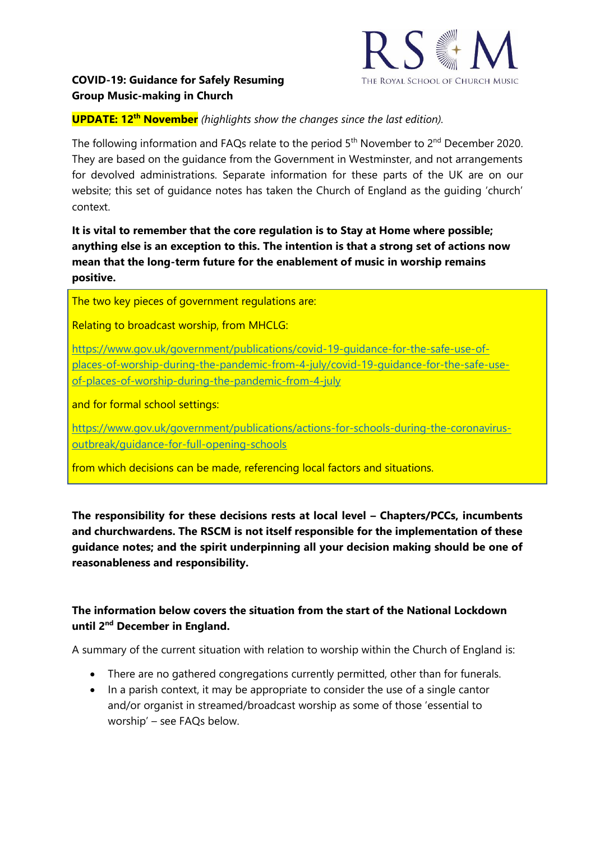

## **COVID-19: Guidance for Safely Resuming Group Music-making in Church**

## **UPDATE: 12th November** *(highlights show the changes since the last edition).*

The following information and FAQs relate to the period 5<sup>th</sup> November to 2<sup>nd</sup> December 2020. They are based on the guidance from the Government in Westminster, and not arrangements for devolved administrations. Separate information for these parts of the UK are on our website; this set of guidance notes has taken the Church of England as the guiding 'church' context.

**It is vital to remember that the core regulation is to Stay at Home where possible; anything else is an exception to this. The intention is that a strong set of actions now mean that the long-term future for the enablement of music in worship remains positive.**

The two key pieces of government regulations are:

Relating to broadcast worship, from MHCLG:

[https://www.gov.uk/government/publications/covid-19-guidance-for-the-safe-use-of](https://www.gov.uk/government/publications/covid-19-guidance-for-the-safe-use-of-places-of-worship-during-the-pandemic-from-4-july/covid-19-guidance-for-the-safe-use-of-places-of-worship-during-the-pandemic-from-4-july)[places-of-worship-during-the-pandemic-from-4-july/covid-19-guidance-for-the-safe-use](https://www.gov.uk/government/publications/covid-19-guidance-for-the-safe-use-of-places-of-worship-during-the-pandemic-from-4-july/covid-19-guidance-for-the-safe-use-of-places-of-worship-during-the-pandemic-from-4-july)[of-places-of-worship-during-the-pandemic-from-4-july](https://www.gov.uk/government/publications/covid-19-guidance-for-the-safe-use-of-places-of-worship-during-the-pandemic-from-4-july/covid-19-guidance-for-the-safe-use-of-places-of-worship-during-the-pandemic-from-4-july)

and for formal school settings:

[https://www.gov.uk/government/publications/actions-for-schools-during-the-coronavirus](https://www.gov.uk/government/publications/actions-for-schools-during-the-coronavirus-outbreak/guidance-for-full-opening-schools)[outbreak/guidance-for-full-opening-schools](https://www.gov.uk/government/publications/actions-for-schools-during-the-coronavirus-outbreak/guidance-for-full-opening-schools)

from which decisions can be made, referencing local factors and situations.

**The responsibility for these decisions rests at local level – Chapters/PCCs, incumbents and churchwardens. The RSCM is not itself responsible for the implementation of these guidance notes; and the spirit underpinning all your decision making should be one of reasonableness and responsibility.**

# **The information below covers the situation from the start of the National Lockdown until 2nd December in England.**

A summary of the current situation with relation to worship within the Church of England is:

- There are no gathered congregations currently permitted, other than for funerals.
- In a parish context, it may be appropriate to consider the use of a single cantor and/or organist in streamed/broadcast worship as some of those 'essential to worship' – see FAQs below.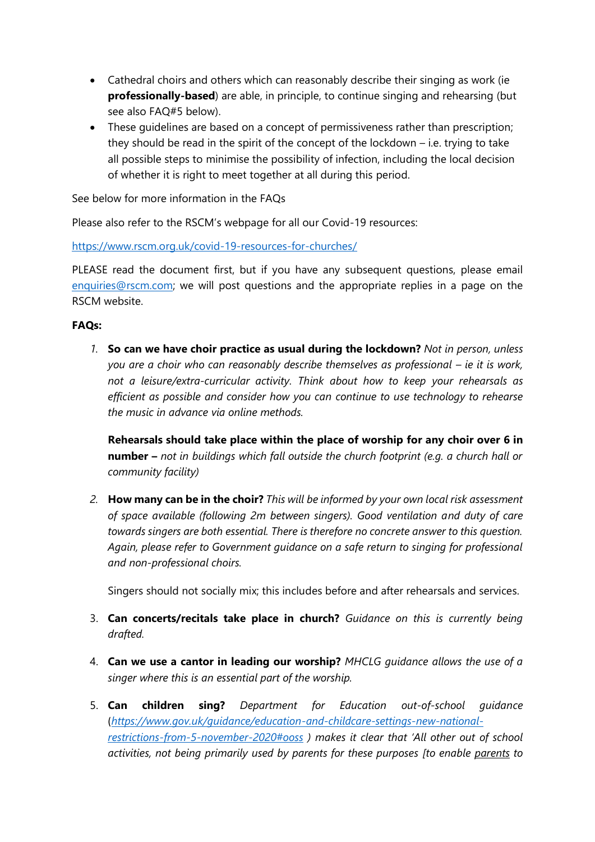- Cathedral choirs and others which can reasonably describe their singing as work (ie **professionally-based**) are able, in principle, to continue singing and rehearsing (but see also FAQ#5 below).
- These guidelines are based on a concept of permissiveness rather than prescription; they should be read in the spirit of the concept of the lockdown – i.e. trying to take all possible steps to minimise the possibility of infection, including the local decision of whether it is right to meet together at all during this period.

See below for more information in the FAQs

Please also refer to the RSCM's webpage for all our Covid-19 resources:

<https://www.rscm.org.uk/covid-19-resources-for-churches/>

PLEASE read the document first, but if you have any subsequent questions, please email [enquiries@rscm.com;](mailto:enquiries@rscm.com) we will post questions and the appropriate replies in a page on the RSCM website.

#### **FAQs:**

*1.* **So can we have choir practice as usual during the lockdown?** *Not in person, unless you are a choir who can reasonably describe themselves as professional – ie it is work, not a leisure/extra-curricular activity. Think about how to keep your rehearsals as efficient as possible and consider how you can continue to use technology to rehearse the music in advance via online methods.*

**Rehearsals should take place within the place of worship for any choir over 6 in number –** *not in buildings which fall outside the church footprint (e.g. a church hall or community facility)*

*2.* **How many can be in the choir?** *This will be informed by your own local risk assessment of space available (following 2m between singers). Good ventilation and duty of care towards singers are both essential. There is therefore no concrete answer to this question. Again, please refer to Government guidance on a safe return to singing for professional and non-professional choirs.*

Singers should not socially mix; this includes before and after rehearsals and services.

- 3. **Can concerts/recitals take place in church?** *Guidance on this is currently being drafted.*
- 4. **Can we use a cantor in leading our worship?** *MHCLG guidance allows the use of a singer where this is an essential part of the worship.*
- 5. **Can children sing?** *Department for Education out-of-school guidance* (*[https://www.gov.uk/guidance/education-and-childcare-settings-new-national](https://www.gov.uk/guidance/education-and-childcare-settings-new-national-restrictions-from-5-november-2020#ooss)[restrictions-from-5-november-2020#ooss](https://www.gov.uk/guidance/education-and-childcare-settings-new-national-restrictions-from-5-november-2020#ooss) ) makes it clear that 'All other out of school activities, not being primarily used by parents for these purposes [to enable parents to*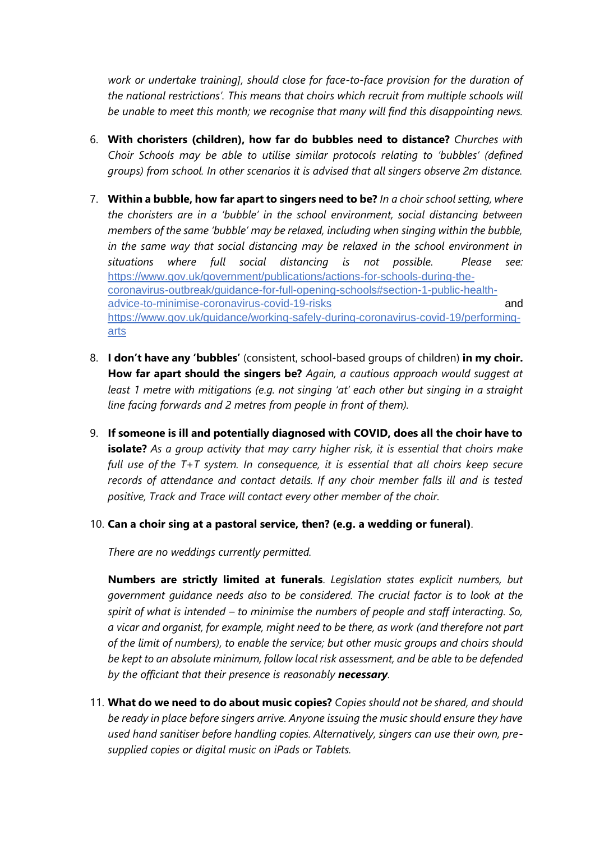*work or undertake training], should close for face-to-face provision for the duration of the national restrictions'. This means that choirs which recruit from multiple schools will be unable to meet this month; we recognise that many will find this disappointing news.*

- 6. **With choristers (children), how far do bubbles need to distance?** *Churches with Choir Schools may be able to utilise similar protocols relating to 'bubbles' (defined groups) from school. In other scenarios it is advised that all singers observe 2m distance.*
- 7. **Within a bubble, how far apart to singers need to be?** *In a choir school setting, where the choristers are in a 'bubble' in the school environment, social distancing between members of the same 'bubble' may be relaxed, including when singing within the bubble, in the same way that social distancing may be relaxed in the school environment in situations where full social distancing is not possible. Please see:*  [https://www.gov.uk/government/publications/actions-for-schools-during-the](https://www.gov.uk/government/publications/actions-for-schools-during-the-coronavirus-outbreak/guidance-for-full-opening-schools#section-1-public-health-advice-to-minimise-coronavirus-covid-19-risks)[coronavirus-outbreak/guidance-for-full-opening-schools#section-1-public-health](https://www.gov.uk/government/publications/actions-for-schools-during-the-coronavirus-outbreak/guidance-for-full-opening-schools#section-1-public-health-advice-to-minimise-coronavirus-covid-19-risks)[advice-to-minimise-coronavirus-covid-19-risks](https://www.gov.uk/government/publications/actions-for-schools-during-the-coronavirus-outbreak/guidance-for-full-opening-schools#section-1-public-health-advice-to-minimise-coronavirus-covid-19-risks) and [https://www.gov.uk/guidance/working-safely-during-coronavirus-covid-19/performing](https://www.gov.uk/guidance/working-safely-during-coronavirus-covid-19/performing-arts)[arts](https://www.gov.uk/guidance/working-safely-during-coronavirus-covid-19/performing-arts)
- 8. **I don't have any 'bubbles'** (consistent, school-based groups of children) **in my choir. How far apart should the singers be?** *Again, a cautious approach would suggest at least 1 metre with mitigations (e.g. not singing 'at' each other but singing in a straight line facing forwards and 2 metres from people in front of them).*
- 9. **If someone is ill and potentially diagnosed with COVID, does all the choir have to isolate?** *As a group activity that may carry higher risk, it is essential that choirs make full use of the T+T system. In consequence, it is essential that all choirs keep secure records of attendance and contact details. If any choir member falls ill and is tested positive, Track and Trace will contact every other member of the choir.*
- 10. **Can a choir sing at a pastoral service, then? (e.g. a wedding or funeral)**.

*There are no weddings currently permitted.*

**Numbers are strictly limited at funerals**. *Legislation states explicit numbers, but government guidance needs also to be considered. The crucial factor is to look at the spirit of what is intended – to minimise the numbers of people and staff interacting. So, a vicar and organist, for example, might need to be there, as work (and therefore not part of the limit of numbers), to enable the service; but other music groups and choirs should be kept to an absolute minimum, follow local risk assessment, and be able to be defended by the officiant that their presence is reasonably necessary.*

11. **What do we need to do about music copies?** *Copies should not be shared, and should be ready in place before singers arrive. Anyone issuing the music should ensure they have used hand sanitiser before handling copies. Alternatively, singers can use their own, presupplied copies or digital music on iPads or Tablets.*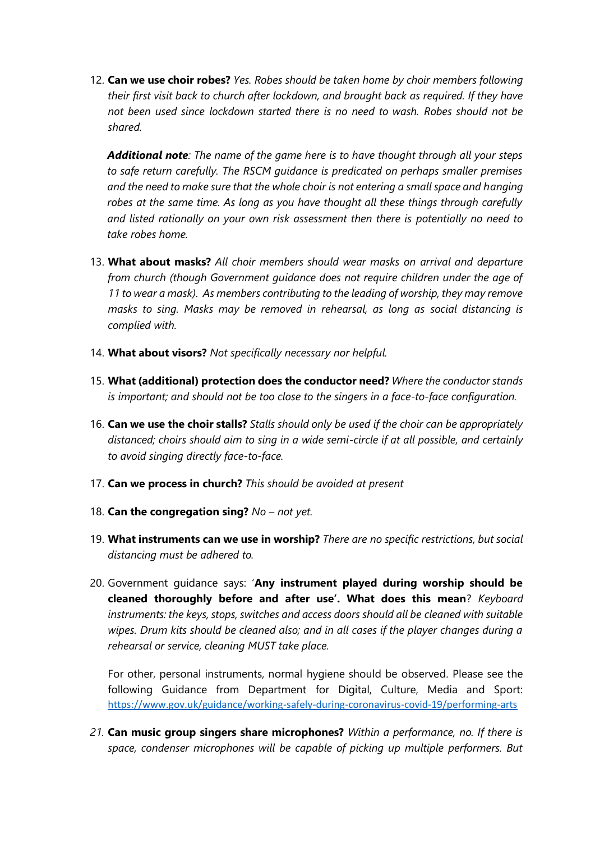12. **Can we use choir robes?** *Yes. Robes should be taken home by choir members following their first visit back to church after lockdown, and brought back as required. If they have not been used since lockdown started there is no need to wash. Robes should not be shared.*

*Additional note: The name of the game here is to have thought through all your steps to safe return carefully. The RSCM guidance is predicated on perhaps smaller premises and the need to make sure that the whole choir is not entering a small space and hanging robes at the same time. As long as you have thought all these things through carefully and listed rationally on your own risk assessment then there is potentially no need to take robes home.*

- 13. **What about masks?** *All choir members should wear masks on arrival and departure from church (though Government guidance does not require children under the age of 11 to wear a mask). As members contributing to the leading of worship, they may remove masks to sing. Masks may be removed in rehearsal, as long as social distancing is complied with.*
- 14. **What about visors?** *Not specifically necessary nor helpful.*
- 15. **What (additional) protection does the conductor need?** *Where the conductor stands is important; and should not be too close to the singers in a face-to-face configuration.*
- 16. **Can we use the choir stalls?** *Stalls should only be used if the choir can be appropriately distanced; choirs should aim to sing in a wide semi-circle if at all possible, and certainly to avoid singing directly face-to-face.*
- 17. **Can we process in church?** *This should be avoided at present*
- 18. **Can the congregation sing?** *No – not yet.*
- 19. **What instruments can we use in worship?** *There are no specific restrictions, but social distancing must be adhered to.*
- 20. Government guidance says: '**Any instrument played during worship should be cleaned thoroughly before and after use'. What does this mean**? *Keyboard instruments: the keys, stops, switches and access doors should all be cleaned with suitable wipes. Drum kits should be cleaned also; and in all cases if the player changes during a rehearsal or service, cleaning MUST take place.*

For other, personal instruments, normal hygiene should be observed. Please see the following Guidance from Department for Digital, Culture, Media and Sport: <https://www.gov.uk/guidance/working-safely-during-coronavirus-covid-19/performing-arts>

*21.* **Can music group singers share microphones?** *Within a performance, no. If there is space, condenser microphones will be capable of picking up multiple performers. But*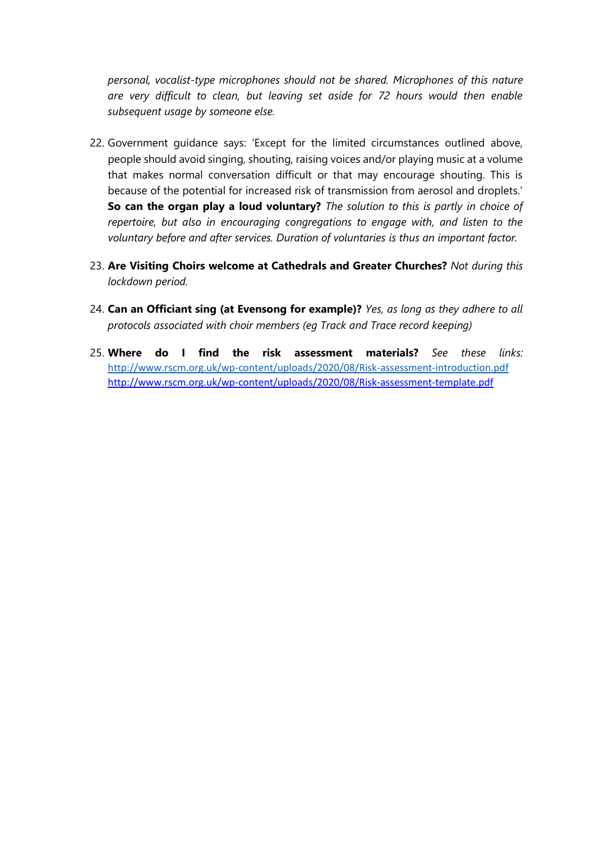*personal, vocalist-type microphones should not be shared. Microphones of this nature are very difficult to clean, but leaving set aside for 72 hours would then enable subsequent usage by someone else.*

- 22. Government guidance says: 'Except for the limited circumstances outlined above, people should avoid singing, shouting, raising voices and/or playing music at a volume that makes normal conversation difficult or that may encourage shouting. This is because of the potential for increased risk of transmission from aerosol and droplets.' **So can the organ play a loud voluntary?** *The solution to this is partly in choice of repertoire, but also in encouraging congregations to engage with, and listen to the voluntary before and after services. Duration of voluntaries is thus an important factor.*
- 23. **Are Visiting Choirs welcome at Cathedrals and Greater Churches?** *Not during this lockdown period.*
- 24. **Can an Officiant sing (at Evensong for example)?** *Yes, as long as they adhere to all protocols associated with choir members (eg Track and Trace record keeping)*
- 25. **Where do I find the risk assessment materials?** *See these links:*  <http://www.rscm.org.uk/wp-content/uploads/2020/08/Risk-assessment-introduction.pdf> <http://www.rscm.org.uk/wp-content/uploads/2020/08/Risk-assessment-template.pdf>